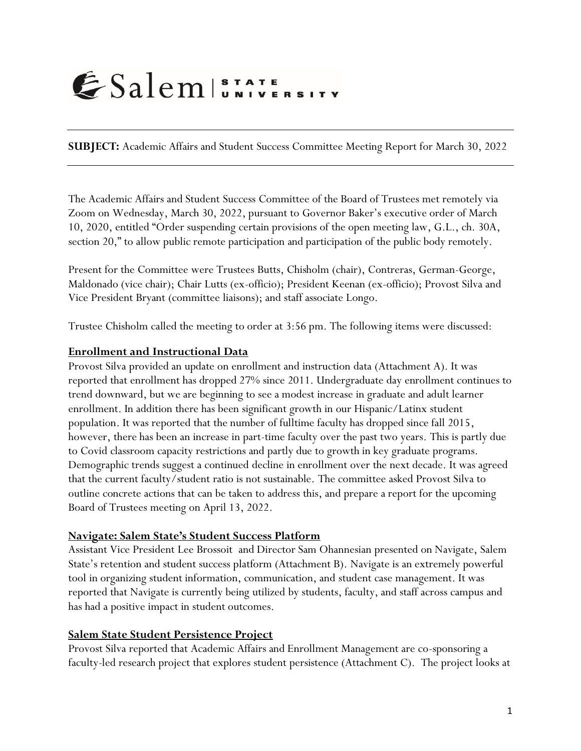# ESalem STATE

**SUBJECT:** Academic Affairs and Student Success Committee Meeting Report for March 30, 2022

The Academic Affairs and Student Success Committee of the Board of Trustees met remotely via Zoom on Wednesday, March 30, 2022, pursuant to Governor Baker's executive order of March 10, 2020, entitled "Order suspending certain provisions of the open meeting law, G.L., ch. 30A, section 20," to allow public remote participation and participation of the public body remotely.

Present for the Committee were Trustees Butts, Chisholm (chair), Contreras, German-George, Maldonado (vice chair); Chair Lutts (ex-officio); President Keenan (ex-officio); Provost Silva and Vice President Bryant (committee liaisons); and staff associate Longo.

Trustee Chisholm called the meeting to order at 3:56 pm. The following items were discussed:

### **Enrollment and Instructional Data**

Provost Silva provided an update on enrollment and instruction data (Attachment A). It was reported that enrollment has dropped 27% since 2011. Undergraduate day enrollment continues to trend downward, but we are beginning to see a modest increase in graduate and adult learner enrollment. In addition there has been significant growth in our Hispanic/Latinx student population. It was reported that the number of fulltime faculty has dropped since fall 2015, however, there has been an increase in part-time faculty over the past two years. This is partly due to Covid classroom capacity restrictions and partly due to growth in key graduate programs. Demographic trends suggest a continued decline in enrollment over the next decade. It was agreed that the current faculty/student ratio is not sustainable. The committee asked Provost Silva to outline concrete actions that can be taken to address this, and prepare a report for the upcoming Board of Trustees meeting on April 13, 2022.

#### **Navigate: Salem State's Student Success Platform**

Assistant Vice President Lee Brossoit and Director Sam Ohannesian presented on Navigate, Salem State's retention and student success platform (Attachment B). Navigate is an extremely powerful tool in organizing student information, communication, and student case management. It was reported that Navigate is currently being utilized by students, faculty, and staff across campus and has had a positive impact in student outcomes.

## **Salem State Student Persistence Project**

Provost Silva reported that Academic Affairs and Enrollment Management are co-sponsoring a faculty-led research project that explores student persistence (Attachment C). The project looks at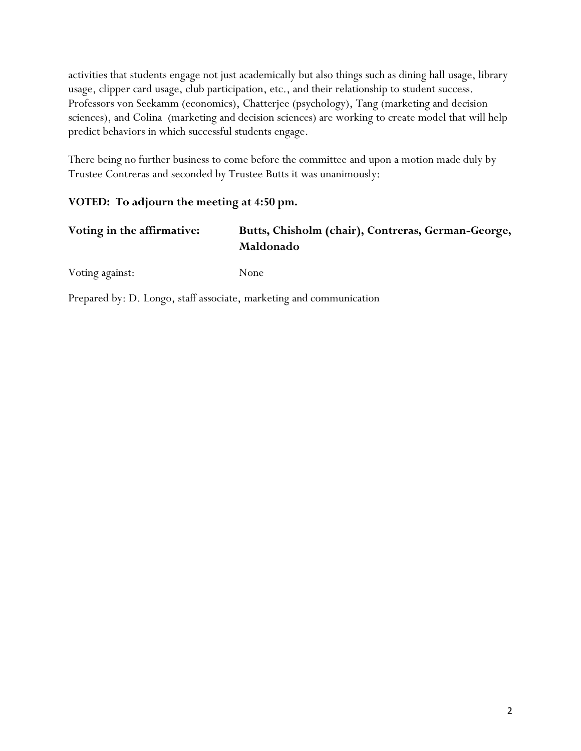activities that students engage not just academically but also things such as dining hall usage, library usage, clipper card usage, club participation, etc., and their relationship to student success. Professors von Seekamm (economics), Chatterjee (psychology), Tang (marketing and decision sciences), and Colina (marketing and decision sciences) are working to create model that will help predict behaviors in which successful students engage.

There being no further business to come before the committee and upon a motion made duly by Trustee Contreras and seconded by Trustee Butts it was unanimously:

# **VOTED: To adjourn the meeting at 4:50 pm.**

| Voting in the affirmative: | Butts, Chisholm (chair), Contreras, German-George, |
|----------------------------|----------------------------------------------------|
|                            | Maldonado                                          |

Voting against: None

Prepared by: D. Longo, staff associate, marketing and communication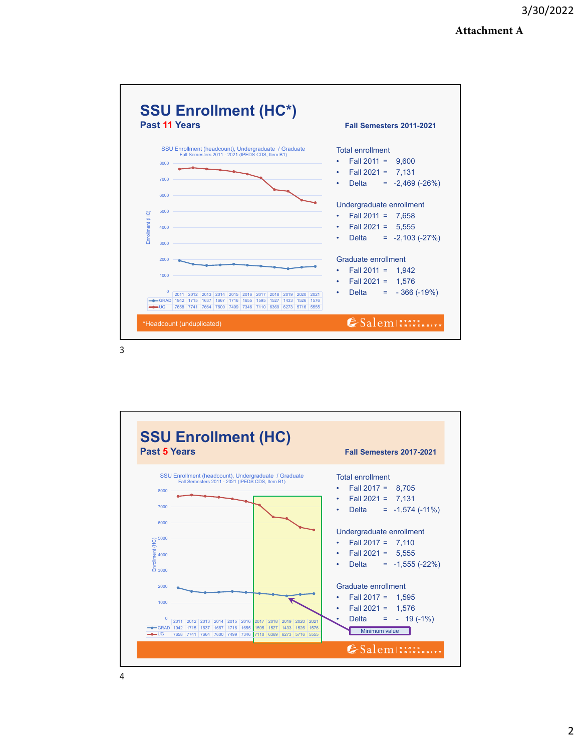#### **Attachment A**



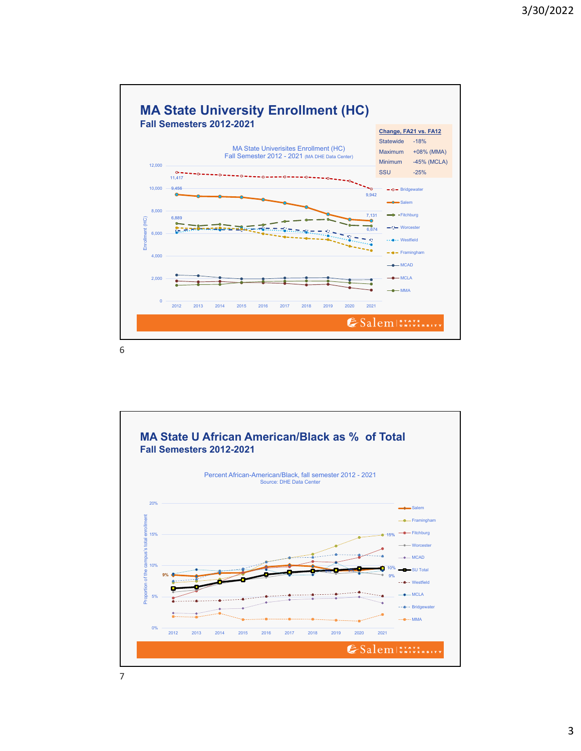

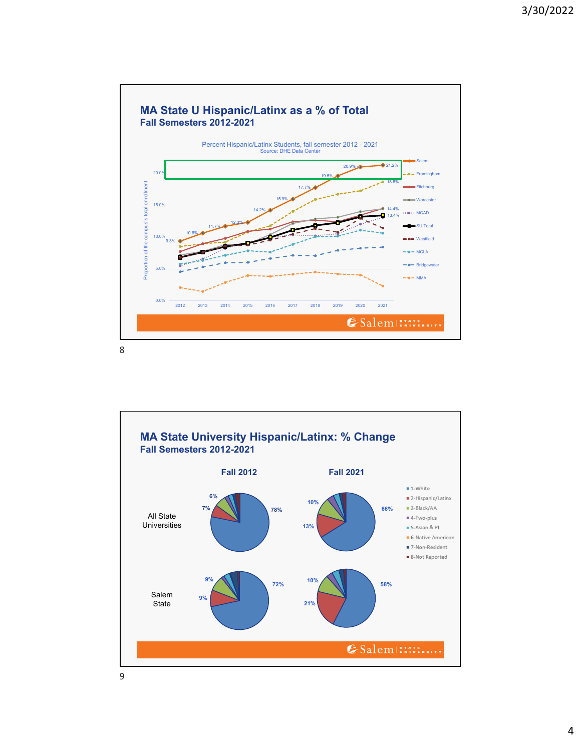

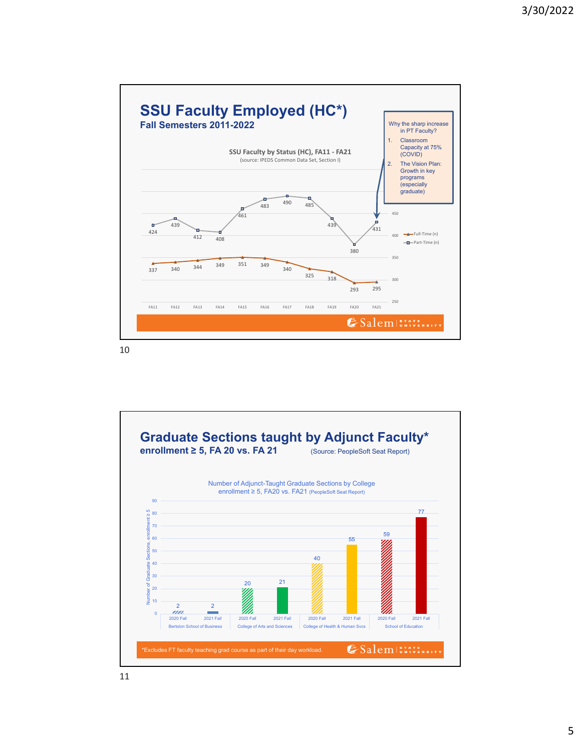

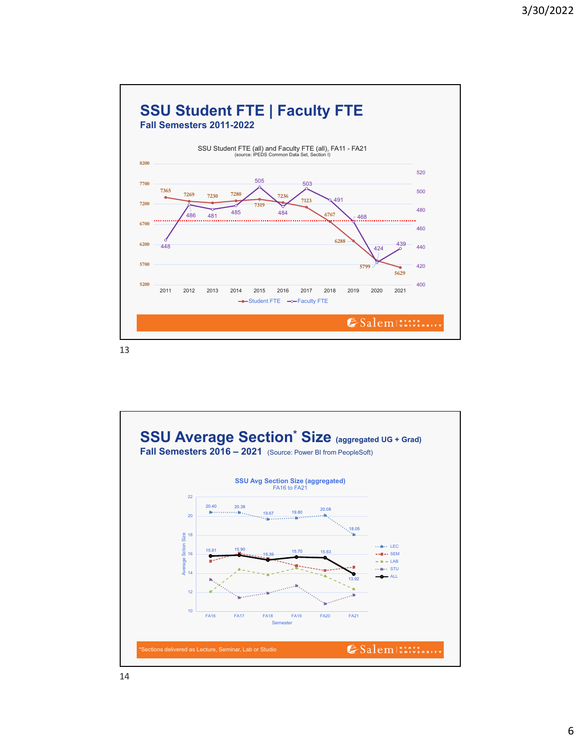



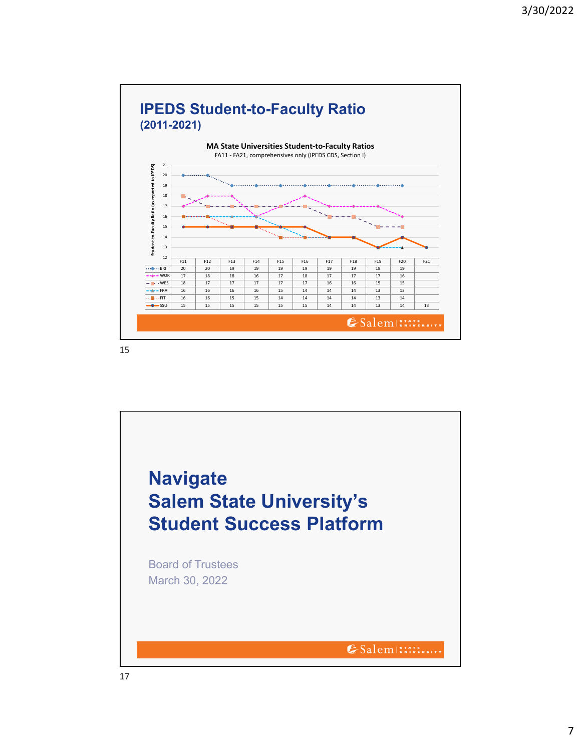

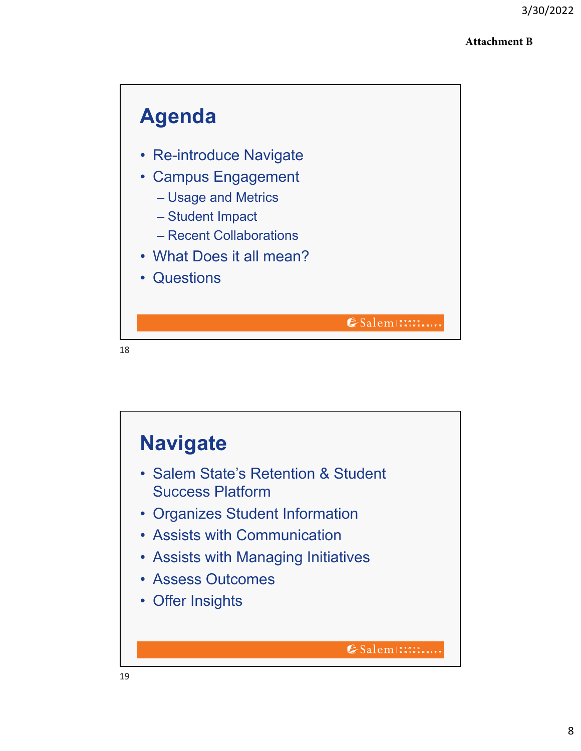## **Attachment B**



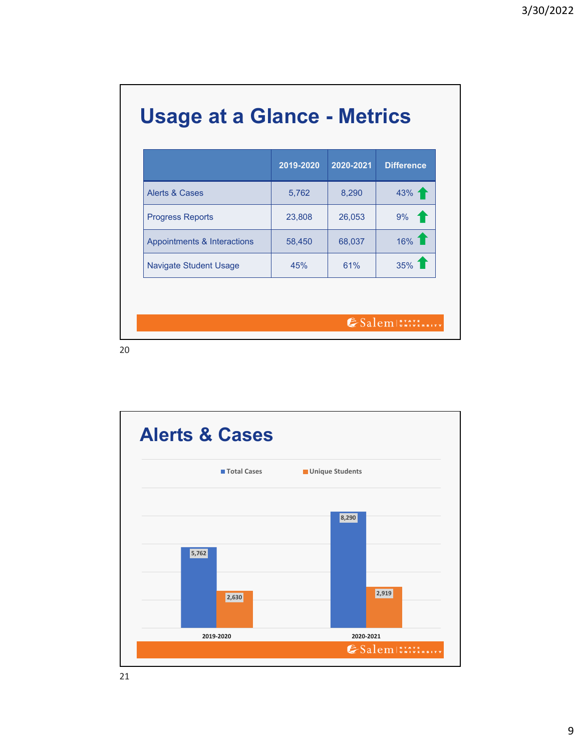|  |  |  | <b>Usage at a Glance - Metrics</b> |
|--|--|--|------------------------------------|
|--|--|--|------------------------------------|

|                               | 2019-2020 | 2020-2021 | <b>Difference</b> |
|-------------------------------|-----------|-----------|-------------------|
| Alerts & Cases                | 5,762     | 8,290     | $43\%$ 1          |
| <b>Progress Reports</b>       | 23,808    | 26,053    | $9\%$ 1           |
| Appointments & Interactions   | 58,450    | 68,037    | 16% 1             |
| <b>Navigate Student Usage</b> | 45%       | 61%       | $35\%$            |

ESalem STATE BITY

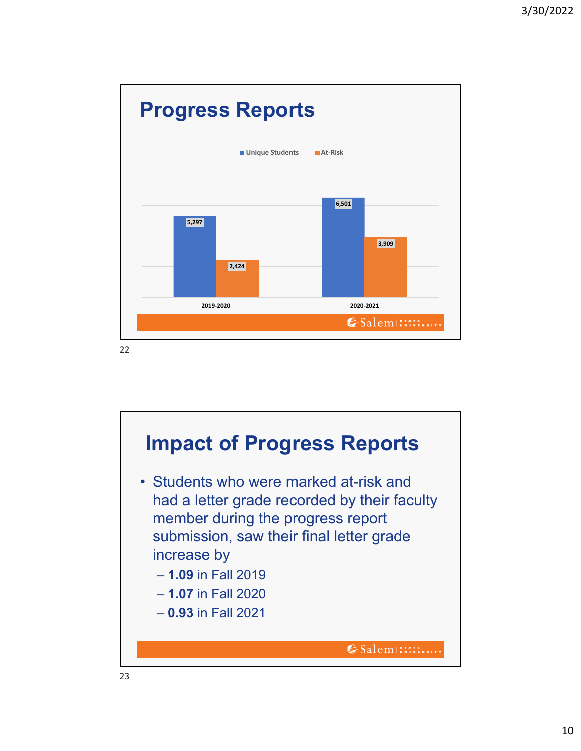

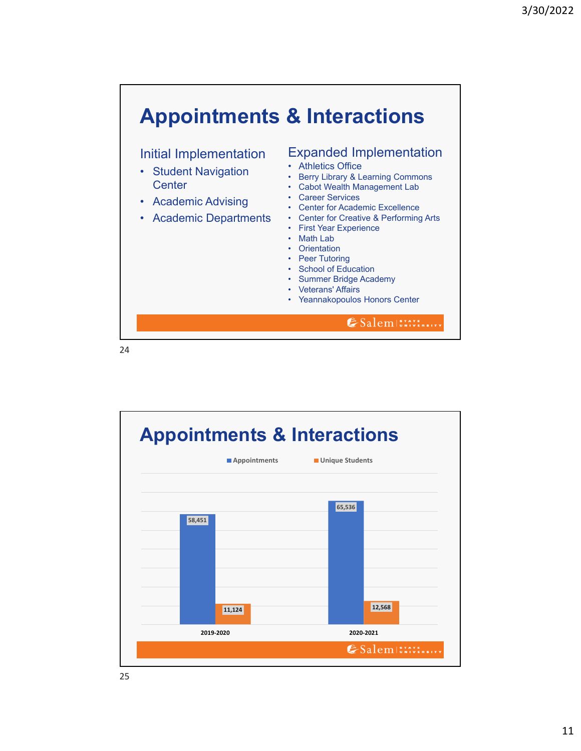

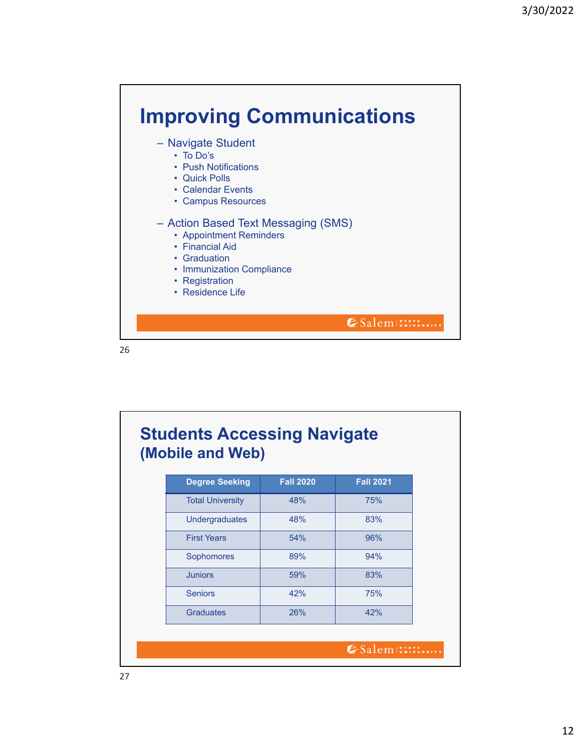

| <b>Degree Seeking</b>   | <b>Fall 2020</b> | <b>Fall 2021</b> |
|-------------------------|------------------|------------------|
| <b>Total University</b> | 48%              | 75%              |
| <b>Undergraduates</b>   | 48%              | 83%              |
| <b>First Years</b>      | 54%              | 96%              |
| Sophomores              | 89%              | 94%              |
| <b>Juniors</b>          | 59%              | 83%              |
| <b>Seniors</b>          | 42%              | 75%              |
| <b>Graduates</b>        | 26%              | 42%              |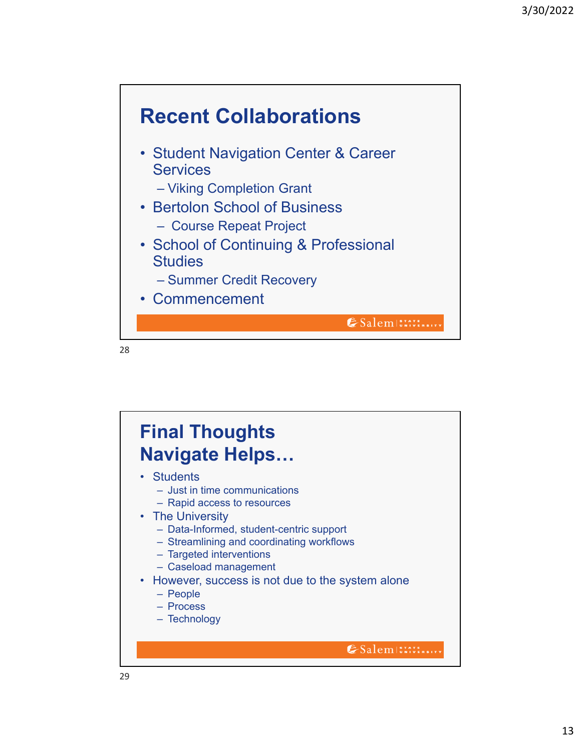